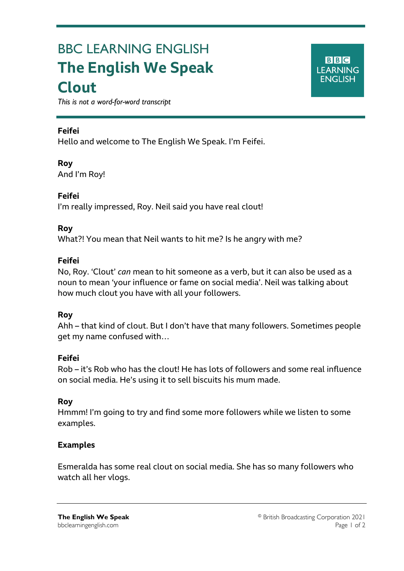# BBC LEARNING ENGLISH **The English We Speak Clout**

**BBC LEARNING ENGLISH** 

*This is not a word-for-word transcript*

## **Feifei**

Ξ

Hello and welcome to The English We Speak. I'm Feifei.

**Roy** And I'm Roy!

**Feifei** I'm really impressed, Roy. Neil said you have real clout!

### **Roy**

What?! You mean that Neil wants to hit me? Is he angry with me?

### **Feifei**

No, Roy. 'Clout' *can* mean to hit someone as a verb, but it can also be used as a noun to mean 'your influence or fame on social media'. Neil was talking about how much clout you have with all your followers.

### **Roy**

Ahh – that kind of clout. But I don't have that many followers. Sometimes people get my name confused with…

### **Feifei**

Rob – it's Rob who has the clout! He has lots of followers and some real influence on social media. He's using it to sell biscuits his mum made.

### **Roy**

Hmmm! I'm going to try and find some more followers while we listen to some examples.

### **Examples**

Esmeralda has some real clout on social media. She has so many followers who watch all her vlogs.